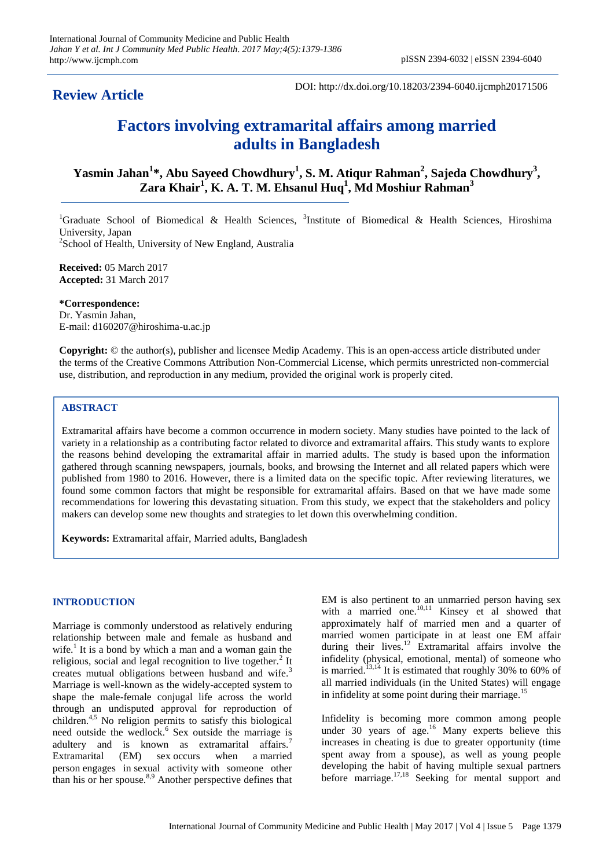**Review Article**

DOI: http://dx.doi.org/10.18203/2394-6040.ijcmph20171506

# **Factors involving extramarital affairs among married adults in Bangladesh**

**Yasmin Jahan<sup>1</sup> \*, Abu Sayeed Chowdhury<sup>1</sup> , S. M. Atiqur Rahman<sup>2</sup> , Sajeda Chowdhury<sup>3</sup> , Zara Khair<sup>1</sup> , K. A. T. M. Ehsanul Huq<sup>1</sup> , Md Moshiur Rahman<sup>3</sup>**

<sup>1</sup>Graduate School of Biomedical & Health Sciences, <sup>3</sup>Institute of Biomedical & Health Sciences, Hiroshima University, Japan <sup>2</sup>School of Health, University of New England, Australia

**Received:** 05 March 2017 **Accepted:** 31 March 2017

**\*Correspondence:** Dr. Yasmin Jahan, E-mail: d160207@hiroshima-u.ac.jp

**Copyright:** © the author(s), publisher and licensee Medip Academy. This is an open-access article distributed under the terms of the Creative Commons Attribution Non-Commercial License, which permits unrestricted non-commercial use, distribution, and reproduction in any medium, provided the original work is properly cited.

# **ABSTRACT**

Extramarital affairs have become a common occurrence in modern society. Many studies have pointed to the lack of variety in a relationship as a contributing factor related to divorce and extramarital affairs. This study wants to explore the reasons behind developing the extramarital affair in married adults. The study is based upon the information gathered through scanning newspapers, journals, books, and browsing the Internet and all related papers which were published from 1980 to 2016. However, there is a limited data on the specific topic. After reviewing literatures, we found some common factors that might be responsible for extramarital affairs. Based on that we have made some recommendations for lowering this devastating situation. From this study, we expect that the stakeholders and policy makers can develop some new thoughts and strategies to let down this overwhelming condition.

**Keywords:** Extramarital affair, Married adults, Bangladesh

# **INTRODUCTION**

Marriage is commonly understood as relatively enduring relationship between male and female as husband and wife.<sup>1</sup> It is a bond by which a man and a woman gain the religious, social and legal recognition to live together.<sup>2</sup> It creates mutual obligations between husband and wife.<sup>3</sup> Marriage is well-known as the widely-accepted system to shape the male-female conjugal life across the world through an undisputed approval for reproduction of children.<sup>4,5</sup> No religion permits to satisfy this biological need outside the wedlock.<sup>6</sup> Sex outside the marriage is adultery and is known as extramarital affairs.<sup>7</sup> Extramarital (EM) sex occurs when a married person engages in sexual activity with someone other than his or her spouse. $8,9$  Another perspective defines that

EM is also pertinent to an unmarried person having sex with a married one.<sup>10,11</sup> Kinsey et al showed that approximately half of married men and a quarter of married women participate in at least one EM affair during their lives.<sup>12</sup> Extramarital affairs involve the infidelity (physical, emotional, mental) of someone who is married.<sup>13,14</sup> It is estimated that roughly 30% to 60% of all married individuals (in the United States) will engage in infidelity at some point during their marriage.<sup>15</sup>

Infidelity is becoming more common among people under 30 years of age.<sup>16</sup> Many experts believe this increases in cheating is due to greater opportunity (time spent away from a spouse), as well as young people developing the habit of having multiple sexual partners before marriage.<sup>17,18</sup> Seeking for mental support and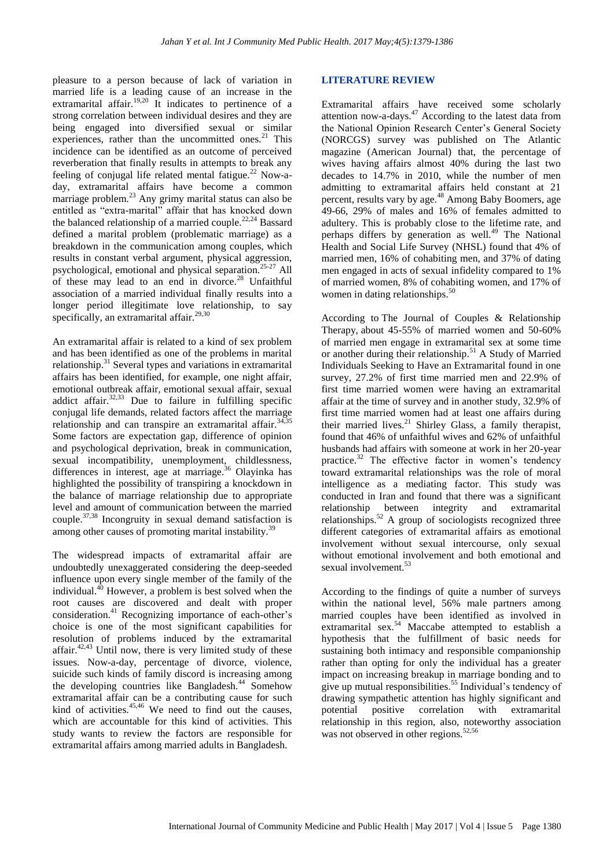pleasure to a person because of lack of variation in married life is a leading cause of an increase in the extramarital affair.<sup>19,20</sup> It indicates to pertinence of a strong correlation between individual desires and they are being engaged into diversified sexual or similar experiences, rather than the uncommitted ones.<sup>21</sup> This incidence can be identified as an outcome of perceived reverberation that finally results in attempts to break any feeling of conjugal life related mental fatigue.<sup>22</sup> Now-aday, extramarital affairs have become a common marriage problem.<sup>23</sup> Any grimy marital status can also be entitled as "extra-marital" affair that has knocked down the balanced relationship of a married couple.<sup>22,24</sup> Bassard defined a marital problem (problematic marriage) as a breakdown in the communication among couples, which results in constant verbal argument, physical aggression, psychological, emotional and physical separation.25-27 All of these may lead to an end in divorce.<sup>28</sup> Unfaithful association of a married individual finally results into a longer period illegitimate love relationship, to say specifically, an extramarital affair.<sup>29,30</sup>

An extramarital affair is related to a kind of sex problem and has been identified as one of the problems in marital relationship.<sup>31</sup> Several types and variations in extramarital affairs has been identified, for example, one night affair, emotional outbreak affair, emotional sexual affair, sexual addict affair. $32,33$  Due to failure in fulfilling specific conjugal life demands, related factors affect the marriage relationship and can transpire an extramarital affair.<sup>34,35</sup> Some factors are expectation gap, difference of opinion and psychological deprivation, break in communication, sexual incompatibility, unemployment, childlessness, differences in interest, age at marriage.<sup>36</sup> Olavinka has highlighted the possibility of transpiring a knockdown in the balance of marriage relationship due to appropriate level and amount of communication between the married couple.37,38 Incongruity in sexual demand satisfaction is among other causes of promoting marital instability.<sup>39</sup>

The widespread impacts of extramarital affair are undoubtedly unexaggerated considering the deep-seeded influence upon every single member of the family of the individual.<sup>40</sup> However, a problem is best solved when the root causes are discovered and dealt with proper consideration.<sup>41</sup> Recognizing importance of each-other's choice is one of the most significant capabilities for resolution of problems induced by the extramarital affair.<sup>42,43</sup> Until now, there is very limited study of these issues. Now-a-day, percentage of divorce, violence, suicide such kinds of family discord is increasing among the developing countries like Bangladesh.<sup>44</sup> Somehow extramarital affair can be a contributing cause for such  $k$ ind of activities.<sup>45,46</sup> We need to find out the causes, which are accountable for this kind of activities. This study wants to review the factors are responsible for extramarital affairs among married adults in Bangladesh.

# **LITERATURE REVIEW**

Extramarital affairs have received some scholarly attention now-a-days.<sup>47</sup> According to the latest data from the National Opinion Research Center's General Society (NORCGS) survey was published on The Atlantic magazine (American Journal) that, the percentage of wives having affairs almost 40% during the last two decades to 14.7% in 2010, while the number of men admitting to extramarital affairs held constant at 21 percent, results vary by age.<sup>48</sup> Among Baby Boomers, age 49-66, 29% of males and 16% of females admitted to adultery. This is probably close to the lifetime rate, and perhaps differs by generation as well.<sup>49</sup> The National Health and Social Life Survey (NHSL) found that 4% of married men, 16% of cohabiting men, and 37% of dating men engaged in acts of sexual infidelity compared to 1% of married women, 8% of cohabiting women, and 17% of women in dating relationships.<sup>50</sup>

According to The Journal of Couples & Relationship Therapy, about 45-55% of married women and 50-60% of married men engage in extramarital sex at some time or another during their relationship.<sup>51</sup> A Study of Married Individuals Seeking to Have an Extramarital found in one survey, 27.2% of first time married men and 22.9% of first time married women were having an extramarital affair at the time of survey and in another study, 32.9% of first time married women had at least one affairs during their married lives.<sup>21</sup> Shirley Glass, a family therapist, found that 46% of unfaithful wives and 62% of unfaithful husbands had affairs with someone at work in her 20-year practice. $32$  The effective factor in women's tendency toward extramarital relationships was the role of moral intelligence as a mediating factor. This study was conducted in Iran and found that there was a significant relationship between integrity and extramarital relationships. $52$  A group of sociologists recognized three different categories of extramarital affairs as emotional involvement without sexual intercourse, only sexual without emotional involvement and both emotional and sexual involvement.<sup>53</sup>

According to the findings of quite a number of surveys within the national level, 56% male partners among married couples have been identified as involved in extramarital sex.<sup>54</sup> Maccabe attempted to establish a hypothesis that the fulfillment of basic needs for sustaining both intimacy and responsible companionship rather than opting for only the individual has a greater impact on increasing breakup in marriage bonding and to give up mutual responsibilities.<sup>55</sup> Individual's tendency of drawing sympathetic attention has highly significant and potential positive correlation with extramarital relationship in this region, also, noteworthy association was not observed in other regions.<sup>52,56</sup>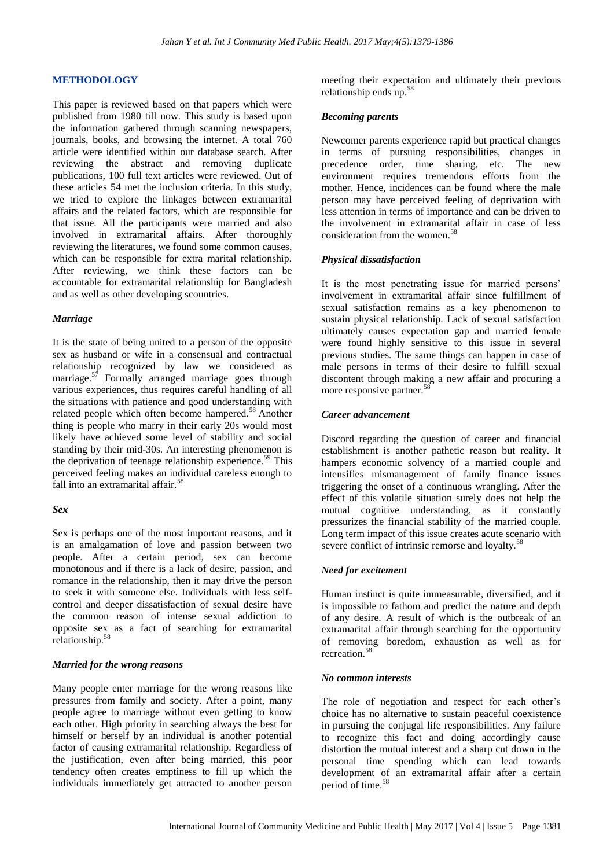## **METHODOLOGY**

This paper is reviewed based on that papers which were published from 1980 till now. This study is based upon the information gathered through scanning newspapers, journals, books, and browsing the internet. A total 760 article were identified within our database search. After reviewing the abstract and removing duplicate publications, 100 full text articles were reviewed. Out of these articles 54 met the inclusion criteria. In this study, we tried to explore the linkages between extramarital affairs and the related factors, which are responsible for that issue. All the participants were married and also involved in extramarital affairs. After thoroughly reviewing the literatures, we found some common causes, which can be responsible for extra marital relationship. After reviewing, we think these factors can be accountable for extramarital relationship for Bangladesh and as well as other developing scountries.

#### *Marriage*

It is the state of being united to a person of the opposite sex as husband or wife in a consensual and contractual relationship recognized by law we considered as marriage.<sup>57</sup> Formally arranged marriage goes through various experiences, thus requires careful handling of all the situations with patience and good understanding with related people which often become hampered.<sup>58</sup> Another thing is people who marry in their early 20s would most likely have achieved some level of stability and social standing by their mid-30s. An interesting phenomenon is the deprivation of teenage relationship experience.<sup>59</sup> This perceived feeling makes an individual careless enough to fall into an extramarital affair.<sup>58</sup>

#### *Sex*

Sex is perhaps one of the most important reasons, and it is an amalgamation of love and passion between two people. After a certain period, sex can become monotonous and if there is a lack of desire, passion, and romance in the relationship, then it may drive the person to seek it with someone else. Individuals with less selfcontrol and deeper dissatisfaction of sexual desire have the common reason of intense sexual addiction to opposite sex as a fact of searching for extramarital relationship.<sup>58</sup>

#### *Married for the wrong reasons*

Many people enter marriage for the wrong reasons like pressures from family and society. After a point, many people agree to marriage without even getting to know each other. High priority in searching always the best for himself or herself by an individual is another potential factor of causing extramarital relationship. Regardless of the justification, even after being married, this poor tendency often creates emptiness to fill up which the individuals immediately get attracted to another person meeting their expectation and ultimately their previous relationship ends up.<sup>58</sup>

#### *Becoming parents*

Newcomer parents experience rapid but practical changes in terms of pursuing responsibilities, changes in precedence order, time sharing, etc. The new environment requires tremendous efforts from the mother. Hence, incidences can be found where the male person may have perceived feeling of deprivation with less attention in terms of importance and can be driven to the involvement in extramarital affair in case of less consideration from the women.<sup>58</sup>

#### *Physical dissatisfaction*

It is the most penetrating issue for married persons' involvement in extramarital affair since fulfillment of sexual satisfaction remains as a key phenomenon to sustain physical relationship. Lack of sexual satisfaction ultimately causes expectation gap and married female were found highly sensitive to this issue in several previous studies. The same things can happen in case of male persons in terms of their desire to fulfill sexual discontent through making a new affair and procuring a more responsive partner.<sup>58</sup>

# *Career advancement*

Discord regarding the question of career and financial establishment is another pathetic reason but reality. It hampers economic solvency of a married couple and intensifies mismanagement of family finance issues triggering the onset of a continuous wrangling. After the effect of this volatile situation surely does not help the mutual cognitive understanding, as it constantly pressurizes the financial stability of the married couple. Long term impact of this issue creates acute scenario with severe conflict of intrinsic remorse and loyalty.<sup>58</sup>

## *Need for excitement*

Human instinct is quite immeasurable, diversified, and it is impossible to fathom and predict the nature and depth of any desire. A result of which is the outbreak of an extramarital affair through searching for the opportunity of removing boredom, exhaustion as well as for recreation.<sup>58</sup>

## *No common interests*

The role of negotiation and respect for each other's choice has no alternative to sustain peaceful coexistence in pursuing the conjugal life responsibilities. Any failure to recognize this fact and doing accordingly cause distortion the mutual interest and a sharp cut down in the personal time spending which can lead towards development of an extramarital affair after a certain period of time.<sup>58</sup>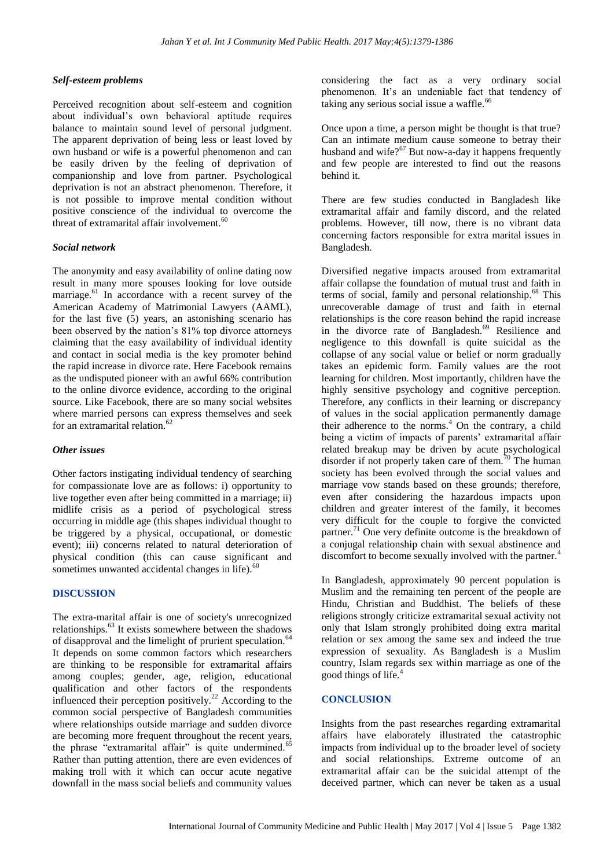# *Self-esteem problems*

Perceived recognition about self-esteem and cognition about individual's own behavioral aptitude requires balance to maintain sound level of personal judgment. The apparent deprivation of being less or least loved by own husband or wife is a powerful phenomenon and can be easily driven by the feeling of deprivation of companionship and love from partner. Psychological deprivation is not an abstract phenomenon. Therefore, it is not possible to improve mental condition without positive conscience of the individual to overcome the threat of extramarital affair involvement. $60$ 

## *Social network*

The anonymity and easy availability of online dating now result in many more spouses looking for love outside marriage.<sup>61</sup> In accordance with a recent survey of the American Academy of Matrimonial Lawyers (AAML), for the last five (5) years, an astonishing scenario has been observed by the nation's 81% top divorce attorneys claiming that the easy availability of individual identity and contact in social media is the key promoter behind the rapid increase in divorce rate. Here Facebook remains as the undisputed pioneer with an awful 66% contribution to the online divorce evidence, according to the original source. Like Facebook, there are so many social websites where married persons can express themselves and seek for an extramarital relation.<sup>62</sup>

## *Other issues*

Other factors instigating individual tendency of searching for compassionate love are as follows: i) opportunity to live together even after being committed in a marriage; ii) midlife crisis as a period of psychological stress occurring in middle age (this shapes individual thought to be triggered by a physical, occupational, or domestic event); iii) concerns related to natural deterioration of physical condition (this can cause significant and sometimes unwanted accidental changes in life).<sup>60</sup>

## **DISCUSSION**

The extra-marital affair is one of society's unrecognized relationships.<sup>63</sup> It exists somewhere between the shadows of disapproval and the limelight of prurient speculation.<sup>64</sup> It depends on some common factors which researchers are thinking to be responsible for extramarital affairs among couples; gender, age, religion, educational qualification and other factors of the respondents influenced their perception positively.<sup>22</sup> According to the common social perspective of Bangladesh communities where relationships outside marriage and sudden divorce are becoming more frequent throughout the recent years, the phrase "extramarital affair" is quite undermined.<sup>65</sup> Rather than putting attention, there are even evidences of making troll with it which can occur acute negative downfall in the mass social beliefs and community values

considering the fact as a very ordinary social phenomenon. It's an undeniable fact that tendency of taking any serious social issue a waffle.<sup>66</sup>

Once upon a time, a person might be thought is that true? Can an intimate medium cause someone to betray their husband and wife?<sup>67</sup> But now-a-day it happens frequently and few people are interested to find out the reasons behind it.

There are few studies conducted in Bangladesh like extramarital affair and family discord, and the related problems. However, till now, there is no vibrant data concerning factors responsible for extra marital issues in Bangladesh.

Diversified negative impacts aroused from extramarital affair collapse the foundation of mutual trust and faith in terms of social, family and personal relationship.<sup>68</sup> This unrecoverable damage of trust and faith in eternal relationships is the core reason behind the rapid increase in the divorce rate of Bangladesh.<sup>69</sup> Resilience and negligence to this downfall is quite suicidal as the collapse of any social value or belief or norm gradually takes an epidemic form. Family values are the root learning for children. Most importantly, children have the highly sensitive psychology and cognitive perception. Therefore, any conflicts in their learning or discrepancy of values in the social application permanently damage their adherence to the norms. $4$  On the contrary, a child being a victim of impacts of parents' extramarital affair related breakup may be driven by acute psychological disorder if not properly taken care of them. $\frac{70}{10}$  The human society has been evolved through the social values and marriage vow stands based on these grounds; therefore, even after considering the hazardous impacts upon children and greater interest of the family, it becomes very difficult for the couple to forgive the convicted partner.<sup>71</sup> One very definite outcome is the breakdown of a conjugal relationship chain with sexual abstinence and discomfort to become sexually involved with the partner.<sup>4</sup>

In Bangladesh, approximately 90 percent population is Muslim and the remaining ten percent of the people are Hindu, Christian and Buddhist. The beliefs of these religions strongly criticize extramarital sexual activity not only that Islam strongly prohibited doing extra marital relation or sex among the same sex and indeed the true expression of sexuality. As Bangladesh is a Muslim country, Islam regards sex within marriage as one of the good things of life.<sup>4</sup>

# **CONCLUSION**

Insights from the past researches regarding extramarital affairs have elaborately illustrated the catastrophic impacts from individual up to the broader level of society and social relationships. Extreme outcome of an extramarital affair can be the suicidal attempt of the deceived partner, which can never be taken as a usual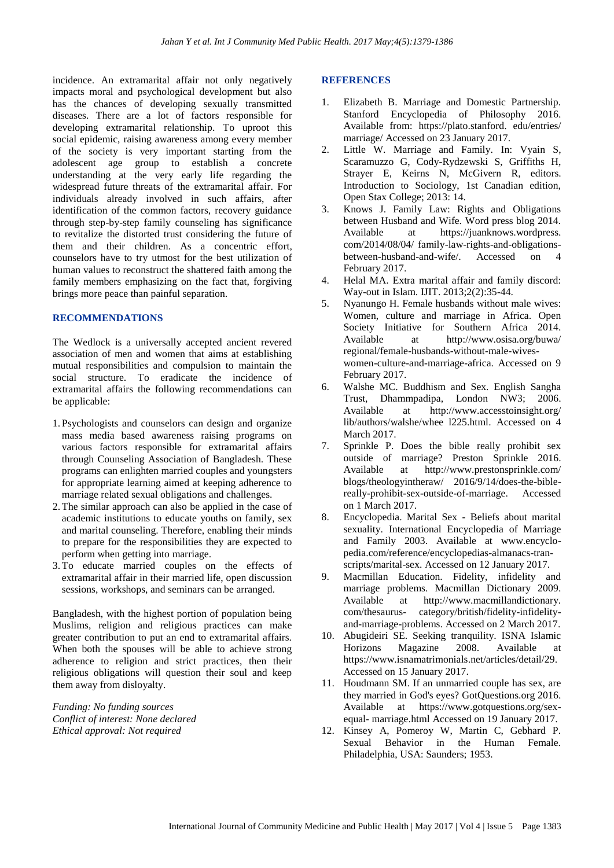incidence. An extramarital affair not only negatively impacts moral and psychological development but also has the chances of developing sexually transmitted diseases. There are a lot of factors responsible for developing extramarital relationship. To uproot this social epidemic, raising awareness among every member of the society is very important starting from the adolescent age group to establish a concrete understanding at the very early life regarding the widespread future threats of the extramarital affair. For individuals already involved in such affairs, after identification of the common factors, recovery guidance through step-by-step family counseling has significance to revitalize the distorted trust considering the future of them and their children. As a concentric effort, counselors have to try utmost for the best utilization of human values to reconstruct the shattered faith among the family members emphasizing on the fact that, forgiving brings more peace than painful separation.

# **RECOMMENDATIONS**

The Wedlock is a universally accepted ancient revered association of men and women that aims at establishing mutual responsibilities and compulsion to maintain the social structure. To eradicate the incidence of extramarital affairs the following recommendations can be applicable:

- 1. Psychologists and counselors can design and organize mass media based awareness raising programs on various factors responsible for extramarital affairs through Counseling Association of Bangladesh. These programs can enlighten married couples and youngsters for appropriate learning aimed at keeping adherence to marriage related sexual obligations and challenges.
- 2.The similar approach can also be applied in the case of academic institutions to educate youths on family, sex and marital counseling. Therefore, enabling their minds to prepare for the responsibilities they are expected to perform when getting into marriage.
- 3.To educate married couples on the effects of extramarital affair in their married life, open discussion sessions, workshops, and seminars can be arranged.

Bangladesh, with the highest portion of population being Muslims, religion and religious practices can make greater contribution to put an end to extramarital affairs. When both the spouses will be able to achieve strong adherence to religion and strict practices, then their religious obligations will question their soul and keep them away from disloyalty.

*Funding: No funding sources Conflict of interest: None declared Ethical approval: Not required*

# **REFERENCES**

- 1. Elizabeth B. Marriage and Domestic Partnership. Stanford Encyclopedia of Philosophy 2016. Available from: https://plato.stanford. edu/entries/ marriage/ Accessed on 23 January 2017.
- 2. Little W. Marriage and Family. In: Vyain S, Scaramuzzo G, Cody-Rydzewski S, Griffiths H, Strayer E, Keirns N, McGivern R, editors. Introduction to Sociology, 1st Canadian edition, Open Stax College; 2013: 14.
- 3. Knows J. Family Law: Rights and Obligations between Husband and Wife. Word press blog 2014. Available at https://juanknows.wordpress. com/2014/08/04/ family-law-rights-and-obligationsbetween-husband-and-wife/. Accessed on 4 February 2017.
- 4. Helal MA. Extra marital affair and family discord: Way-out in Islam. IJIT. 2013;2(2):35-44.
- 5. Nyanungo H. Female husbands without male wives: Women, culture and marriage in Africa. Open Society Initiative for Southern Africa 2014. Available at http://www.osisa.org/buwa/ regional/female-husbands-without-male-wiveswomen-culture-and-marriage-africa. Accessed on 9 February 2017.
- 6. Walshe MC. Buddhism and Sex. English Sangha Trust, Dhammpadipa, London NW3; 2006. Available at http://www.accesstoinsight.org/ lib/authors/walshe/whee l225.html. Accessed on 4 March 2017.
- 7. Sprinkle P. Does the bible really prohibit sex outside of marriage? Preston Sprinkle 2016. Available at http://www.prestonsprinkle.com/ blogs/theologyintheraw/ 2016/9/14/does-the-biblereally-prohibit-sex-outside-of-marriage. Accessed on 1 March 2017.
- 8. Encyclopedia. Marital Sex Beliefs about marital sexuality. International Encyclopedia of Marriage and Family 2003. Available at www.encyclopedia.com/reference/encyclopedias-almanacs-transcripts/marital-sex. Accessed on 12 January 2017.
- 9. Macmillan Education. Fidelity, infidelity and marriage problems. Macmillan Dictionary 2009. Available at http://www.macmillandictionary. com/thesaurus- category/british/fidelity-infidelityand-marriage-problems. Accessed on 2 March 2017.
- 10. Abugideiri SE. Seeking tranquility. ISNA Islamic Horizons Magazine 2008. Available at https://www.isnamatrimonials.net/articles/detail/29. Accessed on 15 January 2017.
- 11. Houdmann SM. If an unmarried couple has sex, are they married in God's eyes? GotQuestions.org 2016. Available at https://www.gotquestions.org/sexequal- marriage.html Accessed on 19 January 2017.
- 12. Kinsey A, Pomeroy W, Martin C, Gebhard P. Sexual Behavior in the Human Female. Philadelphia, USA: Saunders; 1953.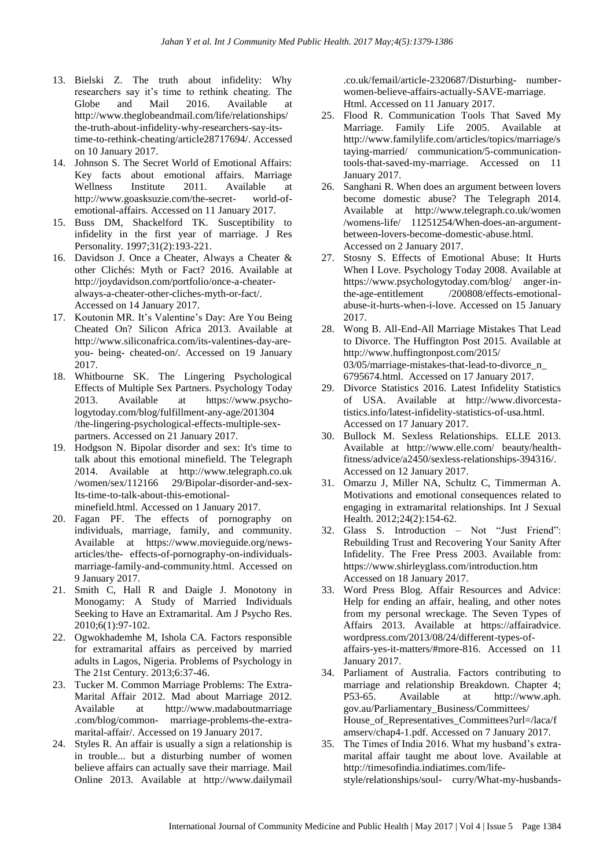- 13. Bielski Z. The truth about infidelity: Why researchers say it's time to rethink cheating. The Globe and Mail 2016. Available at http://www.theglobeandmail.com/life/relationships/ the-truth-about-infidelity-why-researchers-say-itstime-to-rethink-cheating/article28717694/. Accessed on 10 January 2017.
- 14. Johnson S. The Secret World of Emotional Affairs: Key facts about emotional affairs. Marriage Wellness Institute 2011. Available at http://www.goasksuzie.com/the-secret- world-ofemotional-affairs. Accessed on 11 January 2017.
- 15. Buss DM, Shackelford TK. Susceptibility to infidelity in the first year of marriage. J Res Personality. 1997;31(2):193-221.
- 16. Davidson J. Once a Cheater, Always a Cheater & other Clichés: Myth or Fact? 2016. Available at http://joydavidson.com/portfolio/once-a-cheateralways-a-cheater-other-cliches-myth-or-fact/. Accessed on 14 January 2017.
- 17. Koutonin MR. It's Valentine's Day: Are You Being Cheated On? Silicon Africa 2013. Available at http://www.siliconafrica.com/its-valentines-day-areyou- being- cheated-on/. Accessed on 19 January 2017.
- 18. Whitbourne SK. The Lingering Psychological Effects of Multiple Sex Partners. Psychology Today 2013. Available at https://www.psychologytoday.com/blog/fulfillment-any-age/201304 /the-lingering-psychological-effects-multiple-sexpartners. Accessed on 21 January 2017.
- 19. Hodgson N. Bipolar disorder and sex: It's time to talk about this emotional minefield. The Telegraph 2014. Available at http://www.telegraph.co.uk /women/sex/112166 29/Bipolar-disorder-and-sex-Its-time-to-talk-about-this-emotionalminefield.html. Accessed on 1 January 2017.
- 20. Fagan PF. The effects of pornography on individuals, marriage, family, and community. Available at https://www.movieguide.org/newsarticles/the- effects-of-pornography-on-individualsmarriage-family-and-community.html. Accessed on 9 January 2017.
- 21. Smith C, Hall R and Daigle J. Monotony in Monogamy: A Study of Married Individuals Seeking to Have an Extramarital. Am J Psycho Res. 2010;6(1):97-102.
- 22. Ogwokhademhe M, Ishola CA. Factors responsible for extramarital affairs as perceived by married adults in Lagos, Nigeria. Problems of Psychology in The 21st Century. 2013;6:37-46.
- 23. Tucker M. Common Marriage Problems: The Extra-Marital Affair 2012. Mad about Marriage 2012. Available at http://www.madaboutmarriage .com/blog/common- marriage-problems-the-extramarital-affair/. Accessed on 19 January 2017.
- 24. Styles R. An affair is usually a sign a relationship is in trouble... but a disturbing number of women believe affairs can actually save their marriage. Mail Online 2013. Available at http://www.dailymail

.co.uk/femail/article-2320687/Disturbing- numberwomen-believe-affairs-actually-SAVE-marriage. Html. Accessed on 11 January 2017.

- 25. Flood R. Communication Tools That Saved My Marriage. Family Life 2005. Available at http://www.familylife.com/articles/topics/marriage/s taying-married/ communication/5-communicationtools-that-saved-my-marriage. Accessed on 11 January 2017.
- 26. Sanghani R. When does an argument between lovers become domestic abuse? The Telegraph 2014. Available at http://www.telegraph.co.uk/women /womens-life/ 11251254/When-does-an-argumentbetween-lovers-become-domestic-abuse.html. Accessed on 2 January 2017.
- 27. Stosny S. Effects of Emotional Abuse: It Hurts When I Love. Psychology Today 2008. Available at https://www.psychologytoday.com/blog/ anger-inthe-age-entitlement /200808/effects-emotionalabuse-it-hurts-when-i-love. Accessed on 15 January 2017.
- 28. Wong B. All-End-All Marriage Mistakes That Lead to Divorce. The Huffington Post 2015. Available at http://www.huffingtonpost.com/2015/ 03/05/marriage-mistakes-that-lead-to-divorce\_n\_ 6795674.html. Accessed on 17 January 2017.
- 29. Divorce Statistics 2016. Latest Infidelity Statistics of USA. Available at http://www.divorcestatistics.info/latest-infidelity-statistics-of-usa.html. Accessed on 17 January 2017.
- 30. Bullock M. Sexless Relationships. ELLE 2013. Available at http://www.elle.com/ beauty/healthfitness/advice/a2450/sexless-relationships-394316/. Accessed on 12 January 2017.
- 31. Omarzu J, Miller NA, Schultz C, Timmerman A. Motivations and emotional consequences related to engaging in extramarital relationships. Int J Sexual Health. 2012;24(2):154-62.
- 32. Glass S. Introduction Not "Just Friend": Rebuilding Trust and Recovering Your Sanity After Infidelity. The Free Press 2003. Available from: https://www.shirleyglass.com/introduction.htm Accessed on 18 January 2017.
- 33. Word Press Blog. Affair Resources and Advice: Help for ending an affair, healing, and other notes from my personal wreckage. The Seven Types of Affairs 2013. Available at https://affairadvice. wordpress.com/2013/08/24/different-types-ofaffairs-yes-it-matters/#more-816. Accessed on 11 January 2017.
- 34. Parliament of Australia. Factors contributing to marriage and relationship Breakdown. Chapter 4; P53-65. Available at http://www.aph. gov.au/Parliamentary\_Business/Committees/ House of Representatives Committees?url=/laca/f amserv/chap4-1.pdf. Accessed on 7 January 2017.
- 35. The Times of India 2016. What my husband's extramarital affair taught me about love. Available at http://timesofindia.indiatimes.com/lifestyle/relationships/soul- curry/What-my-husbands-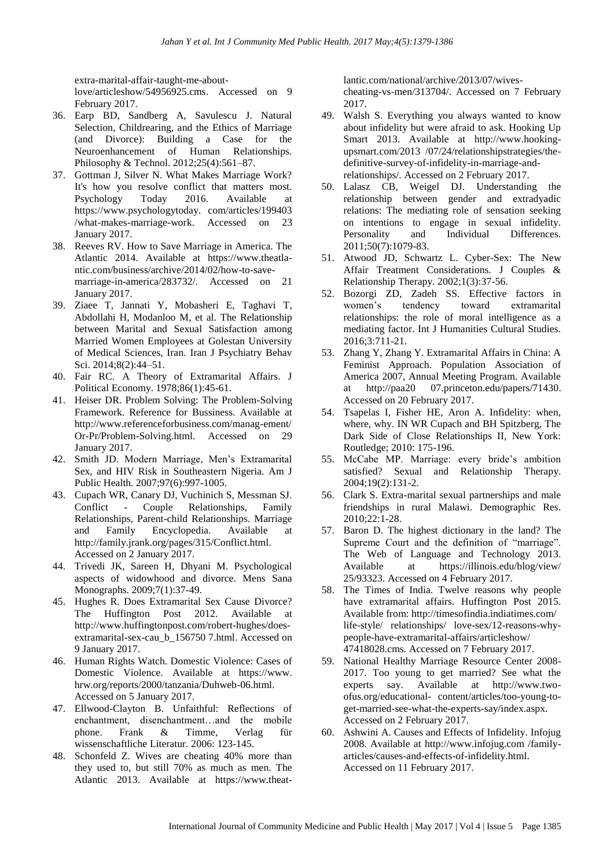extra-marital-affair-taught-me-about-

love/articleshow/54956925.cms. Accessed on 9 February 2017.

- 36. Earp BD, Sandberg A, Savulescu J. Natural Selection, Childrearing, and the Ethics of Marriage (and Divorce): Building a Case for the Neuroenhancement of Human Relationships. Philosophy & Technol. 2012;25(4):561–87.
- 37. Gottman J, Silver N. What Makes Marriage Work? It's how you resolve conflict that matters most. Psychology Today 2016. Available at https://www.psychologytoday. com/articles/199403 /what-makes-marriage-work. Accessed on 23 January 2017.
- 38. Reeves RV. How to Save Marriage in America. The Atlantic 2014. Available at https://www.theatlantic.com/business/archive/2014/02/how-to-savemarriage-in-america/283732/. Accessed on 21 January 2017.
- 39. Ziaee T, Jannati Y, Mobasheri E, Taghavi T, Abdollahi H, Modanloo M, et al. The Relationship between Marital and Sexual Satisfaction among Married Women Employees at Golestan University of Medical Sciences, Iran. Iran J Psychiatry Behav Sci. 2014;8(2):44–51.
- 40. Fair RC. A Theory of Extramarital Affairs. J Political Economy. 1978;86(1):45-61.
- 41. Heiser DR. Problem Solving: The Problem-Solving Framework. Reference for Bussiness. Available at http://www.referenceforbusiness.com/manag-ement/ Or-Pr/Problem-Solving.html. Accessed on 29 January 2017.
- 42. Smith JD. Modern Marriage, Men's Extramarital Sex, and HIV Risk in Southeastern Nigeria. Am J Public Health. 2007;97(6):997-1005.
- 43. Cupach WR, Canary DJ, Vuchinich S, Messman SJ. Conflict - Couple Relationships, Family Relationships, Parent-child Relationships. Marriage and Family Encyclopedia. Available at http://family.jrank.org/pages/315/Conflict.html. Accessed on 2 January 2017.
- 44. Trivedi JK, Sareen H, Dhyani M. Psychological aspects of widowhood and divorce. Mens Sana Monographs. 2009;7(1):37-49.
- 45. Hughes R. Does Extramarital Sex Cause Divorce? The Huffington Post 2012. Available at http://www.huffingtonpost.com/robert-hughes/doesextramarital-sex-cau\_b\_156750 7.html. Accessed on 9 January 2017.
- 46. Human Rights Watch. Domestic Violence: Cases of Domestic Violence. Available at https://www. hrw.org/reports/2000/tanzania/Duhweb-06.html. Accessed on 5 January 2017.
- 47. Ellwood-Clayton B. Unfaithful: Reflections of enchantment, disenchantment…and the mobile phone. Frank & Timme, Verlag für wissenschaftliche Literatur. 2006: 123-145.
- 48. Schonfeld Z. Wives are cheating 40% more than they used to, but still 70% as much as men. The Atlantic 2013. Available at https://www.theat-

lantic.com/national/archive/2013/07/wivescheating-vs-men/313704/. Accessed on 7 February 2017.

- 49. Walsh S. Everything you always wanted to know about infidelity but were afraid to ask. Hooking Up Smart 2013. Available at http://www.hookingupsmart.com/2013 /07/24/relationshipstrategies/thedefinitive-survey-of-infidelity-in-marriage-andrelationships/. Accessed on 2 February 2017.
- 50. Lalasz CB, Weigel DJ. Understanding the relationship between gender and extradyadic relations: The mediating role of sensation seeking on intentions to engage in sexual infidelity. Personality and Individual Differences. 2011;50(7):1079-83.
- 51. Atwood JD, Schwartz L. Cyber-Sex: The New Affair Treatment Considerations. J Couples & Relationship Therapy. 2002;1(3):37-56.
- 52. Bozorgi ZD, Zadeh SS. Effective factors in women's tendency toward extramarital relationships: the role of moral intelligence as a mediating factor. Int J Humanities Cultural Studies. 2016;3:711-21.
- 53. Zhang Y, Zhang Y. Extramarital Affairs in China: A Feminist Approach. Population Association of America 2007, Annual Meeting Program. Available at http://paa20 07.princeton.edu/papers/71430. Accessed on 20 February 2017.
- 54. Tsapelas I, Fisher HE, Aron A. Infidelity: when, where, why. IN WR Cupach and BH Spitzberg, The Dark Side of Close Relationships II, New York: Routledge; 2010: 175-196.
- 55. McCabe MP. Marriage: every bride's ambition satisfied? Sexual and Relationship Therapy. 2004;19(2):131-2.
- 56. Clark S. Extra-marital sexual partnerships and male friendships in rural Malawi. Demographic Res. 2010;22:1-28.
- 57. Baron D. The highest dictionary in the land? The Supreme Court and the definition of "marriage". The Web of Language and Technology 2013. Available at https://illinois.edu/blog/view/ 25/93323. Accessed on 4 February 2017.
- 58. The Times of India. Twelve reasons why people have extramarital affairs. Huffington Post 2015. Available from: http://timesofindia.indiatimes.com/ life-style/ relationships/ love-sex/12-reasons-whypeople-have-extramarital-affairs/articleshow/ 47418028.cms. Accessed on 7 February 2017.
- 59. National Healthy Marriage Resource Center 2008- 2017. Too young to get married? See what the experts say. Available at http://www.twoofus.org/educational- content/articles/too-young-toget-married-see-what-the-experts-say/index.aspx. Accessed on 2 February 2017.
- 60. Ashwini A. Causes and Effects of Infidelity. Infojug 2008. Available at http://www.infojug.com /familyarticles/causes-and-effects-of-infidelity.html. Accessed on 11 February 2017.